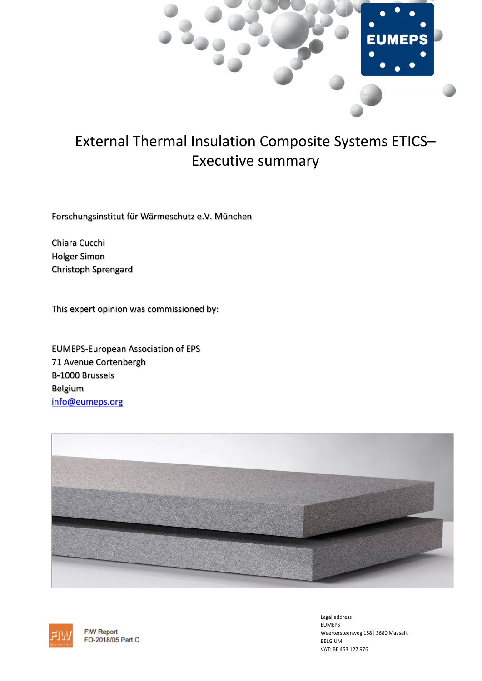

# External Thermal Insulation Composite Systems ETICS– Executive summary

Forschungsinstitut für Wärmeschutz e.V. München

Chiara Cucchi Holger Simon Christoph Sprengard

This expert opinion was commissioned by:

EUMEPS-European Association of EPS 71 Avenue Cortenbergh B-1000 Brussels Belgium [info@eumeps.org](mailto:info@eumeps.org)





**FIW Report** FO-2018/05 Part C Legal address EUMEPS Weertersteenweg 158 | 3680 Maaseik BELGIUM VAT: BE 453 127 976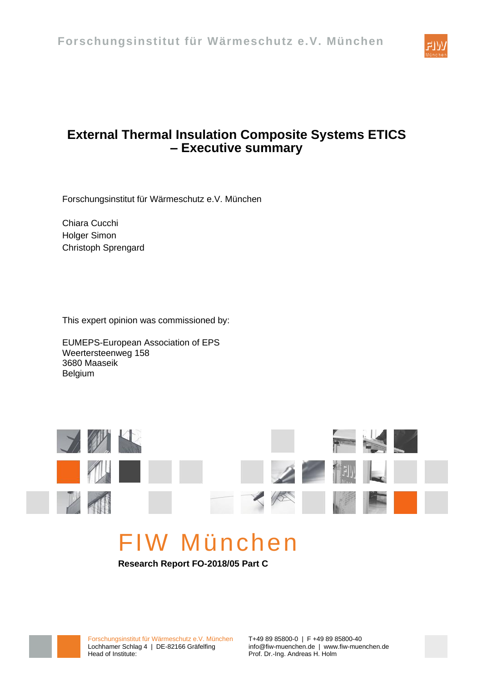

# <span id="page-1-1"></span>**External Thermal Insulation Composite Systems ETICS – Executive summary**

Forschungsinstitut für Wärmeschutz e.V. München

Chiara Cucchi Holger Simon Christoph Sprengard

This expert opinion was commissioned by:

EUMEPS-European Association of EPS Weertersteenweg 158 3680 Maaseik Belgium



# FIW München

<span id="page-1-0"></span>**Research Report FO-2018/05 Part C**



Forschungsinstitut für Wärmeschutz e.V. München T+49 89 85800-0 | F +49 89 85800-40 Lochhamer Schlag 4 | DE-82166 Gräfelfing info@fiw-muenchen.de | www.fiw-muenchen.de | Head of Institute: Prof. Dr.-Ing. Andreas H. Holm

Prof. Dr.-Ing. Andreas H. Holm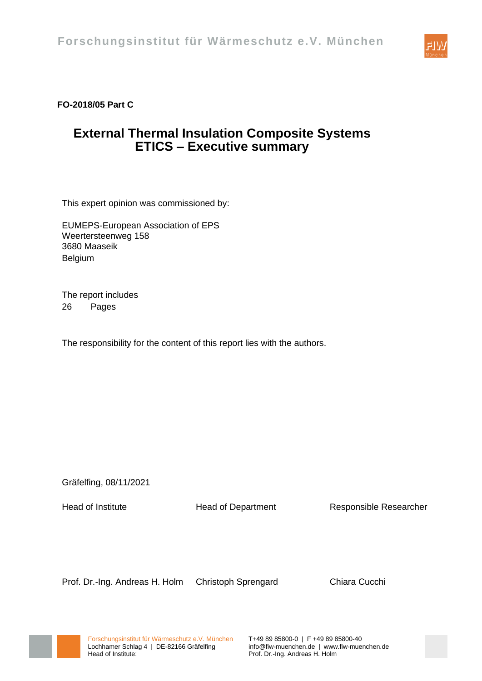

### **[FO-2018/05 Part C](#page-1-0)**

# **ETICS – [Executive summary](#page-1-1) [External Thermal Insulation Composite Systems](#page-1-1)**

This expert opinion was commissioned by:

EUMEPS-European Association of EPS Weertersteenweg 158 3680 Maaseik Belgium

The report includes 26 Pages

The responsibility for the content of this report lies with the authors.

Gräfelfing, 08/11/2021

Head of Institute **Head of Department** Responsible Researcher

Prof. Dr.-Ing. Andreas H. Holm Christoph Sprengard Chiara Cucchi



Prof. Dr.-Ing. Andreas H. Holm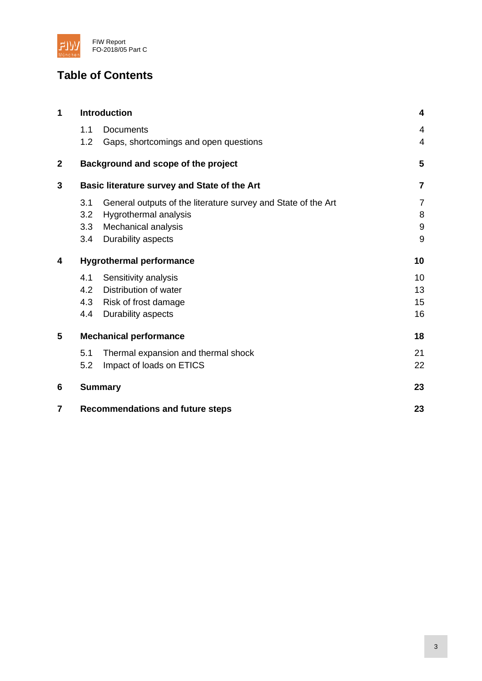

# **Table of Contents**

| 1              | <b>Introduction</b>                          |                                                               | 4              |
|----------------|----------------------------------------------|---------------------------------------------------------------|----------------|
|                | 1.1                                          | <b>Documents</b>                                              | $\overline{4}$ |
|                | 1.2                                          | Gaps, shortcomings and open questions                         | $\overline{4}$ |
| $\overline{2}$ |                                              | Background and scope of the project                           | 5              |
| 3              | Basic literature survey and State of the Art |                                                               | $\overline{7}$ |
|                | 3.1                                          | General outputs of the literature survey and State of the Art | 7              |
|                | 3.2                                          | Hygrothermal analysis                                         | 8              |
|                | 3.3                                          | Mechanical analysis                                           | $9$            |
|                | 3.4                                          | Durability aspects                                            | 9              |
| 4              | <b>Hygrothermal performance</b>              |                                                               | 10             |
|                | 4.1                                          | Sensitivity analysis                                          | 10             |
|                | 4.2                                          | Distribution of water                                         | 13             |
|                | 4.3                                          | Risk of frost damage                                          | 15             |
|                | 4.4                                          | Durability aspects                                            | 16             |
| 5              | <b>Mechanical performance</b>                |                                                               | 18             |
|                | 5.1                                          | Thermal expansion and thermal shock                           | 21             |
|                | 5.2                                          | Impact of loads on ETICS                                      | 22             |
| 6              | <b>Summary</b>                               |                                                               | 23             |
| 7              | <b>Recommendations and future steps</b>      |                                                               | 23             |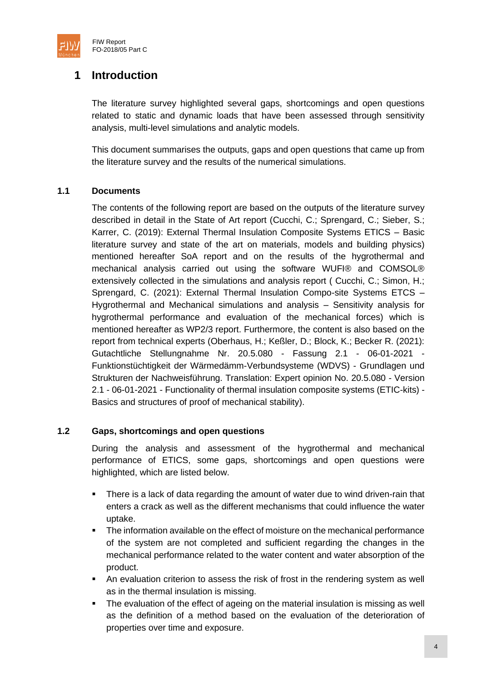

# <span id="page-4-0"></span>**1 Introduction**

The literature survey highlighted several gaps, shortcomings and open questions related to static and dynamic loads that have been assessed through sensitivity analysis, multi-level simulations and analytic models.

This document summarises the outputs, gaps and open questions that came up from the literature survey and the results of the numerical simulations.

#### <span id="page-4-1"></span>**1.1 Documents**

The contents of the following report are based on the outputs of the literature survey described in detail in the State of Art report (Cucchi, C.; Sprengard, C.; Sieber, S.; Karrer, C. (2019): External Thermal Insulation Composite Systems ETICS – Basic literature survey and state of the art on materials, models and building physics) mentioned hereafter SoA report and on the results of the hygrothermal and mechanical analysis carried out using the software WUFI® and COMSOL® extensively collected in the simulations and analysis report ( Cucchi, C.; Simon, H.; Sprengard, C. (2021): External Thermal Insulation Compo-site Systems ETCS – Hygrothermal and Mechanical simulations and analysis – Sensitivity analysis for hygrothermal performance and evaluation of the mechanical forces) which is mentioned hereafter as WP2/3 report. Furthermore, the content is also based on the report from technical experts (Oberhaus, H.; Keßler, D.; Block, K.; Becker R. (2021): Gutachtliche Stellungnahme Nr. 20.5.080 - Fassung 2.1 - 06-01-2021 - Funktionstüchtigkeit der Wärmedämm-Verbundsysteme (WDVS) - Grundlagen und Strukturen der Nachweisführung. Translation: Expert opinion No. 20.5.080 - Version 2.1 - 06-01-2021 - Functionality of thermal insulation composite systems (ETIC-kits) - Basics and structures of proof of mechanical stability).

#### <span id="page-4-2"></span>**1.2 Gaps, shortcomings and open questions**

During the analysis and assessment of the hygrothermal and mechanical performance of ETICS, some gaps, shortcomings and open questions were highlighted, which are listed below.

- There is a lack of data regarding the amount of water due to wind driven-rain that enters a crack as well as the different mechanisms that could influence the water uptake.
- The information available on the effect of moisture on the mechanical performance of the system are not completed and sufficient regarding the changes in the mechanical performance related to the water content and water absorption of the product.
- **EXECT** An evaluation criterion to assess the risk of frost in the rendering system as well as in the thermal insulation is missing.
- The evaluation of the effect of ageing on the material insulation is missing as well as the definition of a method based on the evaluation of the deterioration of properties over time and exposure.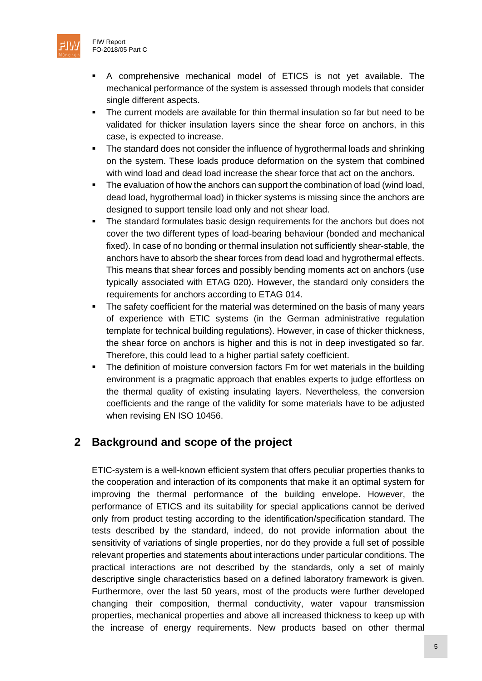

- The current models are available for thin thermal insulation so far but need to be validated for thicker insulation layers since the shear force on anchors, in this case, is expected to increase.
- **•** The standard does not consider the influence of hygrothermal loads and shrinking on the system. These loads produce deformation on the system that combined with wind load and dead load increase the shear force that act on the anchors.
- **•** The evaluation of how the anchors can support the combination of load (wind load, dead load, hygrothermal load) in thicker systems is missing since the anchors are designed to support tensile load only and not shear load.
- The standard formulates basic design requirements for the anchors but does not cover the two different types of load-bearing behaviour (bonded and mechanical fixed). In case of no bonding or thermal insulation not sufficiently shear-stable, the anchors have to absorb the shear forces from dead load and hygrothermal effects. This means that shear forces and possibly bending moments act on anchors (use typically associated with ETAG 020). However, the standard only considers the requirements for anchors according to ETAG 014.
- **The safety coefficient for the material was determined on the basis of many years** of experience with ETIC systems (in the German administrative regulation template for technical building regulations). However, in case of thicker thickness, the shear force on anchors is higher and this is not in deep investigated so far. Therefore, this could lead to a higher partial safety coefficient.
- **•** The definition of moisture conversion factors Fm for wet materials in the building environment is a pragmatic approach that enables experts to judge effortless on the thermal quality of existing insulating layers. Nevertheless, the conversion coefficients and the range of the validity for some materials have to be adjusted when revising EN ISO 10456.

# <span id="page-5-0"></span>**2 Background and scope of the project**

ETIC-system is a well-known efficient system that offers peculiar properties thanks to the cooperation and interaction of its components that make it an optimal system for improving the thermal performance of the building envelope. However, the performance of ETICS and its suitability for special applications cannot be derived only from product testing according to the identification/specification standard. The tests described by the standard, indeed, do not provide information about the sensitivity of variations of single properties, nor do they provide a full set of possible relevant properties and statements about interactions under particular conditions. The practical interactions are not described by the standards, only a set of mainly descriptive single characteristics based on a defined laboratory framework is given. Furthermore, over the last 50 years, most of the products were further developed changing their composition, thermal conductivity, water vapour transmission properties, mechanical properties and above all increased thickness to keep up with the increase of energy requirements. New products based on other thermal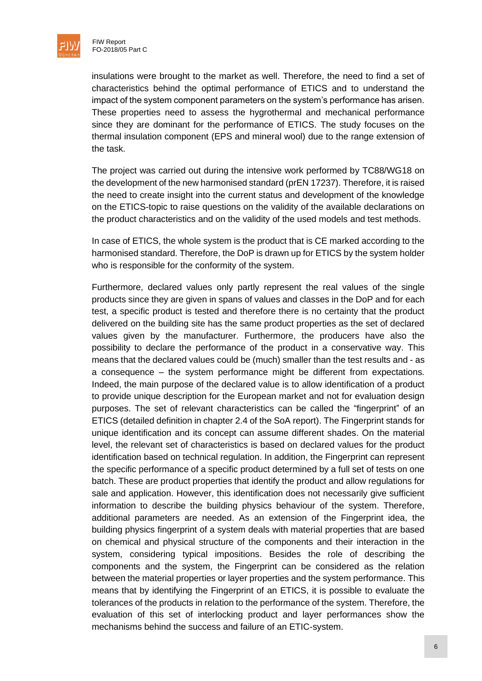

insulations were brought to the market as well. Therefore, the need to find a set of characteristics behind the optimal performance of ETICS and to understand the impact of the system component parameters on the system's performance has arisen. These properties need to assess the hygrothermal and mechanical performance since they are dominant for the performance of ETICS. The study focuses on the thermal insulation component (EPS and mineral wool) due to the range extension of the task.

The project was carried out during the intensive work performed by TC88/WG18 on the development of the new harmonised standard (prEN 17237). Therefore, it is raised the need to create insight into the current status and development of the knowledge on the ETICS-topic to raise questions on the validity of the available declarations on the product characteristics and on the validity of the used models and test methods.

In case of ETICS, the whole system is the product that is CE marked according to the harmonised standard. Therefore, the DoP is drawn up for ETICS by the system holder who is responsible for the conformity of the system.

Furthermore, declared values only partly represent the real values of the single products since they are given in spans of values and classes in the DoP and for each test, a specific product is tested and therefore there is no certainty that the product delivered on the building site has the same product properties as the set of declared values given by the manufacturer. Furthermore, the producers have also the possibility to declare the performance of the product in a conservative way. This means that the declared values could be (much) smaller than the test results and - as a consequence – the system performance might be different from expectations. Indeed, the main purpose of the declared value is to allow identification of a product to provide unique description for the European market and not for evaluation design purposes. The set of relevant characteristics can be called the "fingerprint" of an ETICS (detailed definition in chapter 2.4 of the SoA report). The Fingerprint stands for unique identification and its concept can assume different shades. On the material level, the relevant set of characteristics is based on declared values for the product identification based on technical regulation. In addition, the Fingerprint can represent the specific performance of a specific product determined by a full set of tests on one batch. These are product properties that identify the product and allow regulations for sale and application. However, this identification does not necessarily give sufficient information to describe the building physics behaviour of the system. Therefore, additional parameters are needed. As an extension of the Fingerprint idea, the building physics fingerprint of a system deals with material properties that are based on chemical and physical structure of the components and their interaction in the system, considering typical impositions. Besides the role of describing the components and the system, the Fingerprint can be considered as the relation between the material properties or layer properties and the system performance. This means that by identifying the Fingerprint of an ETICS, it is possible to evaluate the tolerances of the products in relation to the performance of the system. Therefore, the evaluation of this set of interlocking product and layer performances show the mechanisms behind the success and failure of an ETIC-system.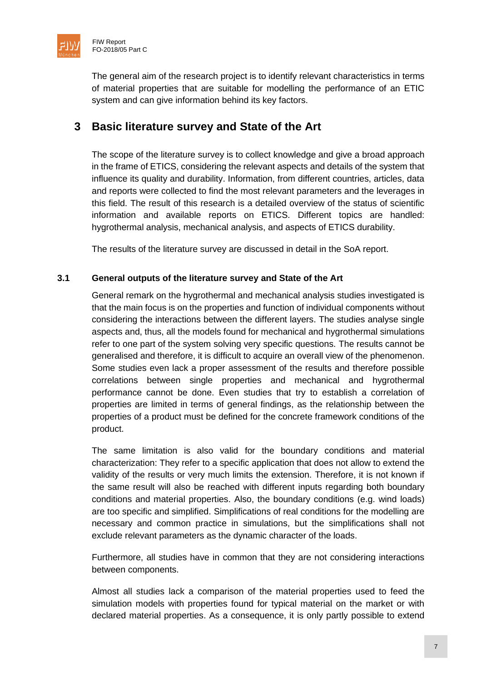

The general aim of the research project is to identify relevant characteristics in terms of material properties that are suitable for modelling the performance of an ETIC system and can give information behind its key factors.

## <span id="page-7-0"></span>**3 Basic literature survey and State of the Art**

The scope of the literature survey is to collect knowledge and give a broad approach in the frame of ETICS, considering the relevant aspects and details of the system that influence its quality and durability. Information, from different countries, articles, data and reports were collected to find the most relevant parameters and the leverages in this field. The result of this research is a detailed overview of the status of scientific information and available reports on ETICS. Different topics are handled: hygrothermal analysis, mechanical analysis, and aspects of ETICS durability.

The results of the literature survey are discussed in detail in the SoA report.

#### <span id="page-7-1"></span>**3.1 General outputs of the literature survey and State of the Art**

General remark on the hygrothermal and mechanical analysis studies investigated is that the main focus is on the properties and function of individual components without considering the interactions between the different layers. The studies analyse single aspects and, thus, all the models found for mechanical and hygrothermal simulations refer to one part of the system solving very specific questions. The results cannot be generalised and therefore, it is difficult to acquire an overall view of the phenomenon. Some studies even lack a proper assessment of the results and therefore possible correlations between single properties and mechanical and hygrothermal performance cannot be done. Even studies that try to establish a correlation of properties are limited in terms of general findings, as the relationship between the properties of a product must be defined for the concrete framework conditions of the product.

The same limitation is also valid for the boundary conditions and material characterization: They refer to a specific application that does not allow to extend the validity of the results or very much limits the extension. Therefore, it is not known if the same result will also be reached with different inputs regarding both boundary conditions and material properties. Also, the boundary conditions (e.g. wind loads) are too specific and simplified. Simplifications of real conditions for the modelling are necessary and common practice in simulations, but the simplifications shall not exclude relevant parameters as the dynamic character of the loads.

Furthermore, all studies have in common that they are not considering interactions between components.

Almost all studies lack a comparison of the material properties used to feed the simulation models with properties found for typical material on the market or with declared material properties. As a consequence, it is only partly possible to extend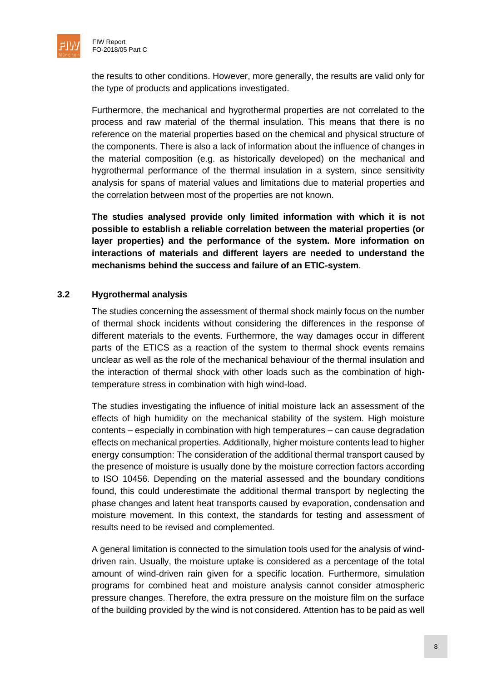

the results to other conditions. However, more generally, the results are valid only for the type of products and applications investigated.

Furthermore, the mechanical and hygrothermal properties are not correlated to the process and raw material of the thermal insulation. This means that there is no reference on the material properties based on the chemical and physical structure of the components. There is also a lack of information about the influence of changes in the material composition (e.g. as historically developed) on the mechanical and hygrothermal performance of the thermal insulation in a system, since sensitivity analysis for spans of material values and limitations due to material properties and the correlation between most of the properties are not known.

**The studies analysed provide only limited information with which it is not possible to establish a reliable correlation between the material properties (or layer properties) and the performance of the system. More information on interactions of materials and different layers are needed to understand the mechanisms behind the success and failure of an ETIC-system**.

#### <span id="page-8-0"></span>**3.2 Hygrothermal analysis**

The studies concerning the assessment of thermal shock mainly focus on the number of thermal shock incidents without considering the differences in the response of different materials to the events. Furthermore, the way damages occur in different parts of the ETICS as a reaction of the system to thermal shock events remains unclear as well as the role of the mechanical behaviour of the thermal insulation and the interaction of thermal shock with other loads such as the combination of hightemperature stress in combination with high wind-load.

The studies investigating the influence of initial moisture lack an assessment of the effects of high humidity on the mechanical stability of the system. High moisture contents – especially in combination with high temperatures – can cause degradation effects on mechanical properties. Additionally, higher moisture contents lead to higher energy consumption: The consideration of the additional thermal transport caused by the presence of moisture is usually done by the moisture correction factors according to ISO 10456. Depending on the material assessed and the boundary conditions found, this could underestimate the additional thermal transport by neglecting the phase changes and latent heat transports caused by evaporation, condensation and moisture movement. In this context, the standards for testing and assessment of results need to be revised and complemented.

A general limitation is connected to the simulation tools used for the analysis of winddriven rain. Usually, the moisture uptake is considered as a percentage of the total amount of wind-driven rain given for a specific location. Furthermore, simulation programs for combined heat and moisture analysis cannot consider atmospheric pressure changes. Therefore, the extra pressure on the moisture film on the surface of the building provided by the wind is not considered. Attention has to be paid as well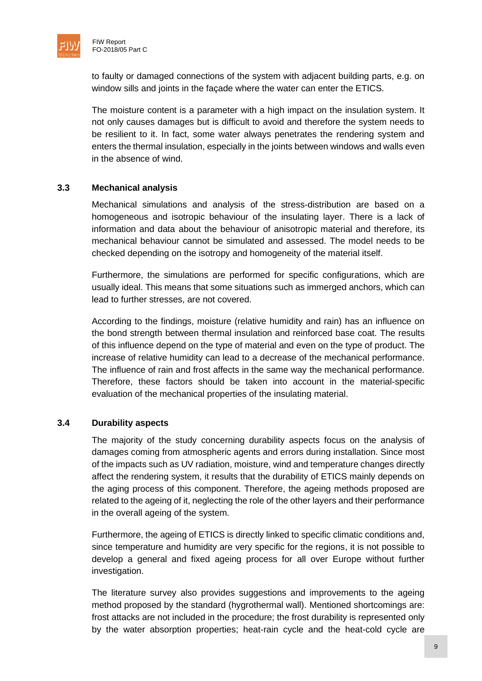

to faulty or damaged connections of the system with adjacent building parts, e.g. on window sills and joints in the facade where the water can enter the ETICS.

The moisture content is a parameter with a high impact on the insulation system. It not only causes damages but is difficult to avoid and therefore the system needs to be resilient to it. In fact, some water always penetrates the rendering system and enters the thermal insulation, especially in the joints between windows and walls even in the absence of wind.

#### <span id="page-9-0"></span>**3.3 Mechanical analysis**

Mechanical simulations and analysis of the stress-distribution are based on a homogeneous and isotropic behaviour of the insulating layer. There is a lack of information and data about the behaviour of anisotropic material and therefore, its mechanical behaviour cannot be simulated and assessed. The model needs to be checked depending on the isotropy and homogeneity of the material itself.

Furthermore, the simulations are performed for specific configurations, which are usually ideal. This means that some situations such as immerged anchors, which can lead to further stresses, are not covered.

According to the findings, moisture (relative humidity and rain) has an influence on the bond strength between thermal insulation and reinforced base coat. The results of this influence depend on the type of material and even on the type of product. The increase of relative humidity can lead to a decrease of the mechanical performance. The influence of rain and frost affects in the same way the mechanical performance. Therefore, these factors should be taken into account in the material-specific evaluation of the mechanical properties of the insulating material.

#### <span id="page-9-1"></span>**3.4 Durability aspects**

The majority of the study concerning durability aspects focus on the analysis of damages coming from atmospheric agents and errors during installation. Since most of the impacts such as UV radiation, moisture, wind and temperature changes directly affect the rendering system, it results that the durability of ETICS mainly depends on the aging process of this component. Therefore, the ageing methods proposed are related to the ageing of it, neglecting the role of the other layers and their performance in the overall ageing of the system.

Furthermore, the ageing of ETICS is directly linked to specific climatic conditions and, since temperature and humidity are very specific for the regions, it is not possible to develop a general and fixed ageing process for all over Europe without further investigation.

The literature survey also provides suggestions and improvements to the ageing method proposed by the standard (hygrothermal wall). Mentioned shortcomings are: frost attacks are not included in the procedure; the frost durability is represented only by the water absorption properties; heat-rain cycle and the heat-cold cycle are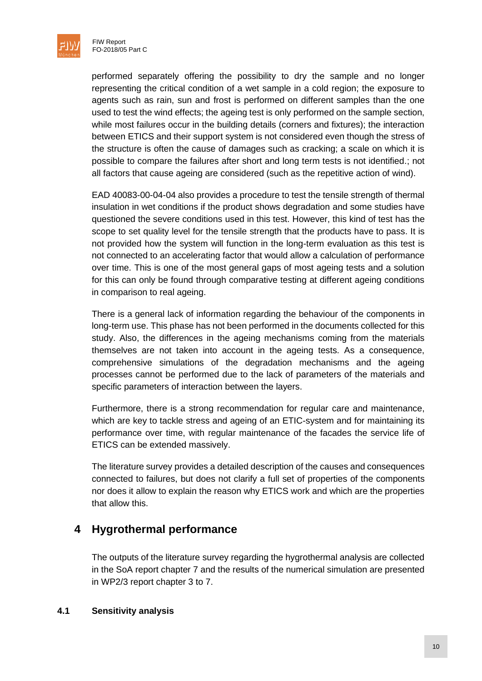

performed separately offering the possibility to dry the sample and no longer representing the critical condition of a wet sample in a cold region; the exposure to agents such as rain, sun and frost is performed on different samples than the one used to test the wind effects; the ageing test is only performed on the sample section, while most failures occur in the building details (corners and fixtures); the interaction between ETICS and their support system is not considered even though the stress of the structure is often the cause of damages such as cracking; a scale on which it is possible to compare the failures after short and long term tests is not identified.; not all factors that cause ageing are considered (such as the repetitive action of wind).

EAD 40083-00-04-04 also provides a procedure to test the tensile strength of thermal insulation in wet conditions if the product shows degradation and some studies have questioned the severe conditions used in this test. However, this kind of test has the scope to set quality level for the tensile strength that the products have to pass. It is not provided how the system will function in the long-term evaluation as this test is not connected to an accelerating factor that would allow a calculation of performance over time. This is one of the most general gaps of most ageing tests and a solution for this can only be found through comparative testing at different ageing conditions in comparison to real ageing.

There is a general lack of information regarding the behaviour of the components in long-term use. This phase has not been performed in the documents collected for this study. Also, the differences in the ageing mechanisms coming from the materials themselves are not taken into account in the ageing tests. As a consequence, comprehensive simulations of the degradation mechanisms and the ageing processes cannot be performed due to the lack of parameters of the materials and specific parameters of interaction between the layers.

Furthermore, there is a strong recommendation for regular care and maintenance, which are key to tackle stress and ageing of an ETIC-system and for maintaining its performance over time, with regular maintenance of the facades the service life of ETICS can be extended massively.

The literature survey provides a detailed description of the causes and consequences connected to failures, but does not clarify a full set of properties of the components nor does it allow to explain the reason why ETICS work and which are the properties that allow this.

# <span id="page-10-0"></span>**4 Hygrothermal performance**

The outputs of the literature survey regarding the hygrothermal analysis are collected in the SoA report chapter 7 and the results of the numerical simulation are presented in WP2/3 report chapter 3 to 7.

#### <span id="page-10-1"></span>**4.1 Sensitivity analysis**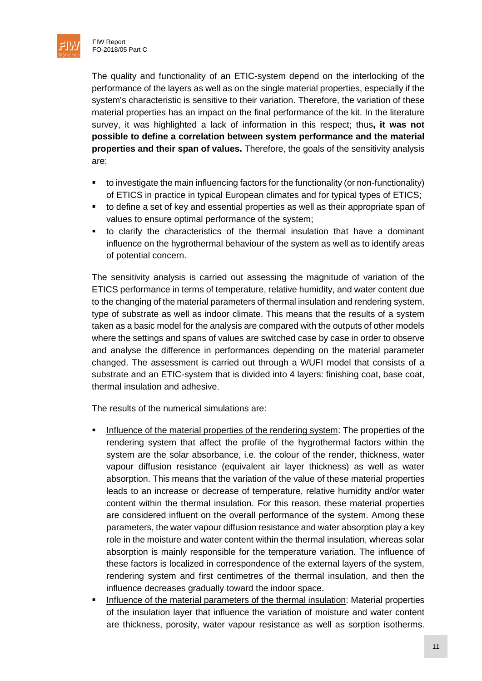

The quality and functionality of an ETIC-system depend on the interlocking of the performance of the layers as well as on the single material properties, especially if the system's characteristic is sensitive to their variation. Therefore, the variation of these material properties has an impact on the final performance of the kit. In the literature survey, it was highlighted a lack of information in this respect; thus**, it was not possible to define a correlation between system performance and the material properties and their span of values.** Therefore, the goals of the sensitivity analysis are:

- to investigate the main influencing factors for the functionality (or non-functionality) of ETICS in practice in typical European climates and for typical types of ETICS;
- to define a set of key and essential properties as well as their appropriate span of values to ensure optimal performance of the system;
- to clarify the characteristics of the thermal insulation that have a dominant influence on the hygrothermal behaviour of the system as well as to identify areas of potential concern.

The sensitivity analysis is carried out assessing the magnitude of variation of the ETICS performance in terms of temperature, relative humidity, and water content due to the changing of the material parameters of thermal insulation and rendering system, type of substrate as well as indoor climate. This means that the results of a system taken as a basic model for the analysis are compared with the outputs of other models where the settings and spans of values are switched case by case in order to observe and analyse the difference in performances depending on the material parameter changed. The assessment is carried out through a WUFI model that consists of a substrate and an ETIC-system that is divided into 4 layers: finishing coat, base coat, thermal insulation and adhesive.

The results of the numerical simulations are:

- Influence of the material properties of the rendering system: The properties of the rendering system that affect the profile of the hygrothermal factors within the system are the solar absorbance, i.e. the colour of the render, thickness, water vapour diffusion resistance (equivalent air layer thickness) as well as water absorption. This means that the variation of the value of these material properties leads to an increase or decrease of temperature, relative humidity and/or water content within the thermal insulation. For this reason, these material properties are considered influent on the overall performance of the system. Among these parameters, the water vapour diffusion resistance and water absorption play a key role in the moisture and water content within the thermal insulation, whereas solar absorption is mainly responsible for the temperature variation. The influence of these factors is localized in correspondence of the external layers of the system, rendering system and first centimetres of the thermal insulation, and then the influence decreases gradually toward the indoor space.
- Influence of the material parameters of the thermal insulation: Material properties of the insulation layer that influence the variation of moisture and water content are thickness, porosity, water vapour resistance as well as sorption isotherms.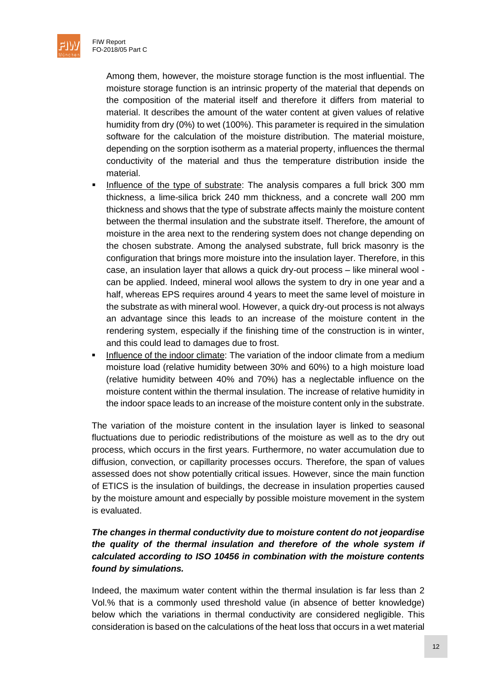Among them, however, the moisture storage function is the most influential. The moisture storage function is an intrinsic property of the material that depends on the composition of the material itself and therefore it differs from material to material. It describes the amount of the water content at given values of relative humidity from dry (0%) to wet (100%). This parameter is required in the simulation software for the calculation of the moisture distribution. The material moisture, depending on the sorption isotherm as a material property, influences the thermal conductivity of the material and thus the temperature distribution inside the material.

- Influence of the type of substrate: The analysis compares a full brick 300 mm thickness, a lime-silica brick 240 mm thickness, and a concrete wall 200 mm thickness and shows that the type of substrate affects mainly the moisture content between the thermal insulation and the substrate itself. Therefore, the amount of moisture in the area next to the rendering system does not change depending on the chosen substrate. Among the analysed substrate, full brick masonry is the configuration that brings more moisture into the insulation layer. Therefore, in this case, an insulation layer that allows a quick dry-out process – like mineral wool can be applied. Indeed, mineral wool allows the system to dry in one year and a half, whereas EPS requires around 4 years to meet the same level of moisture in the substrate as with mineral wool. However, a quick dry-out process is not always an advantage since this leads to an increase of the moisture content in the rendering system, especially if the finishing time of the construction is in winter, and this could lead to damages due to frost.
- **•** Influence of the indoor climate: The variation of the indoor climate from a medium moisture load (relative humidity between 30% and 60%) to a high moisture load (relative humidity between 40% and 70%) has a neglectable influence on the moisture content within the thermal insulation. The increase of relative humidity in the indoor space leads to an increase of the moisture content only in the substrate.

The variation of the moisture content in the insulation layer is linked to seasonal fluctuations due to periodic redistributions of the moisture as well as to the dry out process, which occurs in the first years. Furthermore, no water accumulation due to diffusion, convection, or capillarity processes occurs. Therefore, the span of values assessed does not show potentially critical issues. However, since the main function of ETICS is the insulation of buildings, the decrease in insulation properties caused by the moisture amount and especially by possible moisture movement in the system is evaluated.

#### *The changes in thermal conductivity due to moisture content do not jeopardise the quality of the thermal insulation and therefore of the whole system if calculated according to ISO 10456 in combination with the moisture contents found by simulations.*

Indeed, the maximum water content within the thermal insulation is far less than 2 Vol.% that is a commonly used threshold value (in absence of better knowledge) below which the variations in thermal conductivity are considered negligible. This consideration is based on the calculations of the heat loss that occurs in a wet material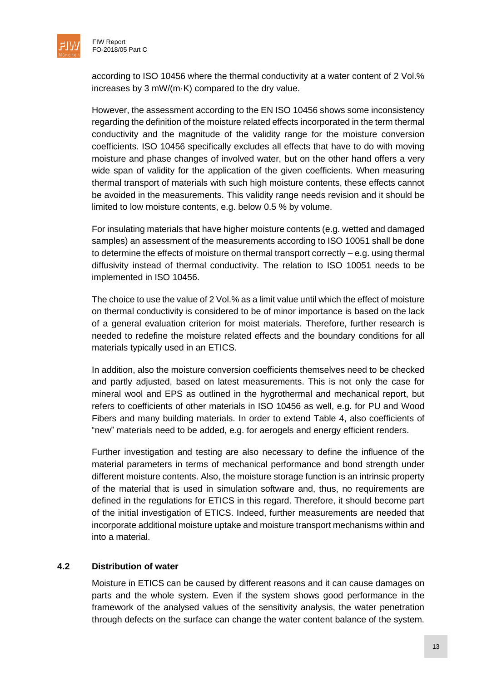

according to ISO 10456 where the thermal conductivity at a water content of 2 Vol.% increases by 3 mW/(m·K) compared to the dry value.

However, the assessment according to the EN ISO 10456 shows some inconsistency regarding the definition of the moisture related effects incorporated in the term thermal conductivity and the magnitude of the validity range for the moisture conversion coefficients. ISO 10456 specifically excludes all effects that have to do with moving moisture and phase changes of involved water, but on the other hand offers a very wide span of validity for the application of the given coefficients. When measuring thermal transport of materials with such high moisture contents, these effects cannot be avoided in the measurements. This validity range needs revision and it should be limited to low moisture contents, e.g. below 0.5 % by volume.

For insulating materials that have higher moisture contents (e.g. wetted and damaged samples) an assessment of the measurements according to ISO 10051 shall be done to determine the effects of moisture on thermal transport correctly – e.g. using thermal diffusivity instead of thermal conductivity. The relation to ISO 10051 needs to be implemented in ISO 10456.

The choice to use the value of 2 Vol.% as a limit value until which the effect of moisture on thermal conductivity is considered to be of minor importance is based on the lack of a general evaluation criterion for moist materials. Therefore, further research is needed to redefine the moisture related effects and the boundary conditions for all materials typically used in an ETICS.

In addition, also the moisture conversion coefficients themselves need to be checked and partly adjusted, based on latest measurements. This is not only the case for mineral wool and EPS as outlined in the hygrothermal and mechanical report, but refers to coefficients of other materials in ISO 10456 as well, e.g. for PU and Wood Fibers and many building materials. In order to extend Table 4, also coefficients of "new" materials need to be added, e.g. for aerogels and energy efficient renders.

Further investigation and testing are also necessary to define the influence of the material parameters in terms of mechanical performance and bond strength under different moisture contents. Also, the moisture storage function is an intrinsic property of the material that is used in simulation software and, thus, no requirements are defined in the regulations for ETICS in this regard. Therefore, it should become part of the initial investigation of ETICS. Indeed, further measurements are needed that incorporate additional moisture uptake and moisture transport mechanisms within and into a material.

#### <span id="page-13-0"></span>**4.2 Distribution of water**

Moisture in ETICS can be caused by different reasons and it can cause damages on parts and the whole system. Even if the system shows good performance in the framework of the analysed values of the sensitivity analysis, the water penetration through defects on the surface can change the water content balance of the system.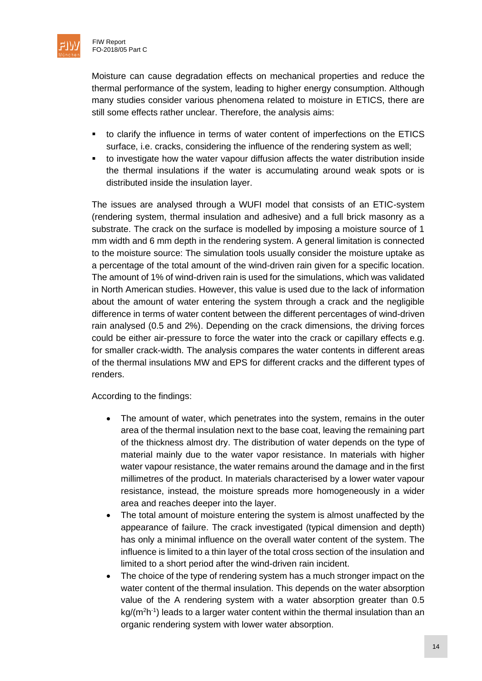

Moisture can cause degradation effects on mechanical properties and reduce the thermal performance of the system, leading to higher energy consumption. Although many studies consider various phenomena related to moisture in ETICS, there are still some effects rather unclear. Therefore, the analysis aims:

- to clarify the influence in terms of water content of imperfections on the ETICS surface, i.e. cracks, considering the influence of the rendering system as well;
- to investigate how the water vapour diffusion affects the water distribution inside the thermal insulations if the water is accumulating around weak spots or is distributed inside the insulation layer.

The issues are analysed through a WUFI model that consists of an ETIC-system (rendering system, thermal insulation and adhesive) and a full brick masonry as a substrate. The crack on the surface is modelled by imposing a moisture source of 1 mm width and 6 mm depth in the rendering system. A general limitation is connected to the moisture source: The simulation tools usually consider the moisture uptake as a percentage of the total amount of the wind-driven rain given for a specific location. The amount of 1% of wind-driven rain is used for the simulations, which was validated in North American studies. However, this value is used due to the lack of information about the amount of water entering the system through a crack and the negligible difference in terms of water content between the different percentages of wind-driven rain analysed (0.5 and 2%). Depending on the crack dimensions, the driving forces could be either air-pressure to force the water into the crack or capillary effects e.g. for smaller crack-width. The analysis compares the water contents in different areas of the thermal insulations MW and EPS for different cracks and the different types of renders.

According to the findings:

- The amount of water, which penetrates into the system, remains in the outer area of the thermal insulation next to the base coat, leaving the remaining part of the thickness almost dry. The distribution of water depends on the type of material mainly due to the water vapor resistance. In materials with higher water vapour resistance, the water remains around the damage and in the first millimetres of the product. In materials characterised by a lower water vapour resistance, instead, the moisture spreads more homogeneously in a wider area and reaches deeper into the layer.
- The total amount of moisture entering the system is almost unaffected by the appearance of failure. The crack investigated (typical dimension and depth) has only a minimal influence on the overall water content of the system. The influence is limited to a thin layer of the total cross section of the insulation and limited to a short period after the wind-driven rain incident.
- The choice of the type of rendering system has a much stronger impact on the water content of the thermal insulation. This depends on the water absorption value of the A rendering system with a water absorption greater than 0.5  $kg/(m^2h^{-1})$  leads to a larger water content within the thermal insulation than an organic rendering system with lower water absorption.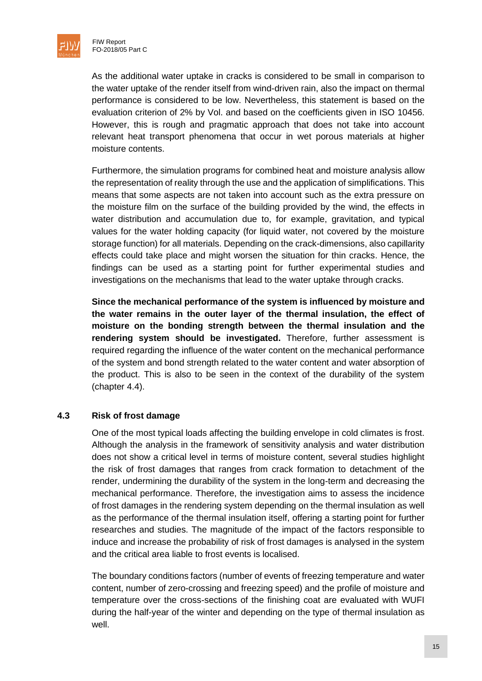

As the additional water uptake in cracks is considered to be small in comparison to the water uptake of the render itself from wind-driven rain, also the impact on thermal performance is considered to be low. Nevertheless, this statement is based on the evaluation criterion of 2% by Vol. and based on the coefficients given in ISO 10456. However, this is rough and pragmatic approach that does not take into account relevant heat transport phenomena that occur in wet porous materials at higher moisture contents.

Furthermore, the simulation programs for combined heat and moisture analysis allow the representation of reality through the use and the application of simplifications. This means that some aspects are not taken into account such as the extra pressure on the moisture film on the surface of the building provided by the wind, the effects in water distribution and accumulation due to, for example, gravitation, and typical values for the water holding capacity (for liquid water, not covered by the moisture storage function) for all materials. Depending on the crack-dimensions, also capillarity effects could take place and might worsen the situation for thin cracks. Hence, the findings can be used as a starting point for further experimental studies and investigations on the mechanisms that lead to the water uptake through cracks.

**Since the mechanical performance of the system is influenced by moisture and the water remains in the outer layer of the thermal insulation, the effect of moisture on the bonding strength between the thermal insulation and the rendering system should be investigated.** Therefore, further assessment is required regarding the influence of the water content on the mechanical performance of the system and bond strength related to the water content and water absorption of the product. This is also to be seen in the context of the durability of the system (chapter 4.4).

#### <span id="page-15-0"></span>**4.3 Risk of frost damage**

One of the most typical loads affecting the building envelope in cold climates is frost. Although the analysis in the framework of sensitivity analysis and water distribution does not show a critical level in terms of moisture content, several studies highlight the risk of frost damages that ranges from crack formation to detachment of the render, undermining the durability of the system in the long-term and decreasing the mechanical performance. Therefore, the investigation aims to assess the incidence of frost damages in the rendering system depending on the thermal insulation as well as the performance of the thermal insulation itself, offering a starting point for further researches and studies. The magnitude of the impact of the factors responsible to induce and increase the probability of risk of frost damages is analysed in the system and the critical area liable to frost events is localised.

The boundary conditions factors (number of events of freezing temperature and water content, number of zero-crossing and freezing speed) and the profile of moisture and temperature over the cross-sections of the finishing coat are evaluated with WUFI during the half-year of the winter and depending on the type of thermal insulation as well.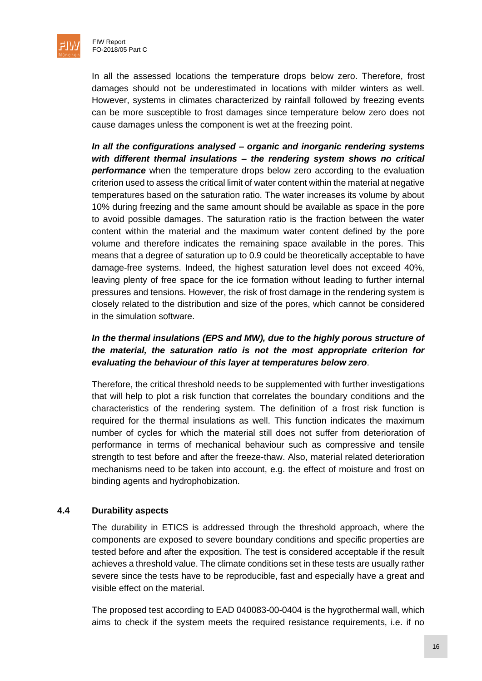

In all the assessed locations the temperature drops below zero. Therefore, frost damages should not be underestimated in locations with milder winters as well. However, systems in climates characterized by rainfall followed by freezing events can be more susceptible to frost damages since temperature below zero does not cause damages unless the component is wet at the freezing point.

*In all the configurations analysed – organic and inorganic rendering systems with different thermal insulations – the rendering system shows no critical*  **performance** when the temperature drops below zero according to the evaluation criterion used to assess the critical limit of water content within the material at negative temperatures based on the saturation ratio. The water increases its volume by about 10% during freezing and the same amount should be available as space in the pore to avoid possible damages. The saturation ratio is the fraction between the water content within the material and the maximum water content defined by the pore volume and therefore indicates the remaining space available in the pores. This means that a degree of saturation up to 0.9 could be theoretically acceptable to have damage-free systems. Indeed, the highest saturation level does not exceed 40%, leaving plenty of free space for the ice formation without leading to further internal pressures and tensions. However, the risk of frost damage in the rendering system is closely related to the distribution and size of the pores, which cannot be considered in the simulation software.

#### In the thermal insulations (*EPS* and *MW*), due to the highly porous structure of *the material, the saturation ratio is not the most appropriate criterion for evaluating the behaviour of this layer at temperatures below zero*.

Therefore, the critical threshold needs to be supplemented with further investigations that will help to plot a risk function that correlates the boundary conditions and the characteristics of the rendering system. The definition of a frost risk function is required for the thermal insulations as well. This function indicates the maximum number of cycles for which the material still does not suffer from deterioration of performance in terms of mechanical behaviour such as compressive and tensile strength to test before and after the freeze-thaw. Also, material related deterioration mechanisms need to be taken into account, e.g. the effect of moisture and frost on binding agents and hydrophobization.

#### <span id="page-16-0"></span>**4.4 Durability aspects**

The durability in ETICS is addressed through the threshold approach, where the components are exposed to severe boundary conditions and specific properties are tested before and after the exposition. The test is considered acceptable if the result achieves a threshold value. The climate conditions set in these tests are usually rather severe since the tests have to be reproducible, fast and especially have a great and visible effect on the material.

The proposed test according to EAD 040083-00-0404 is the hygrothermal wall, which aims to check if the system meets the required resistance requirements, i.e. if no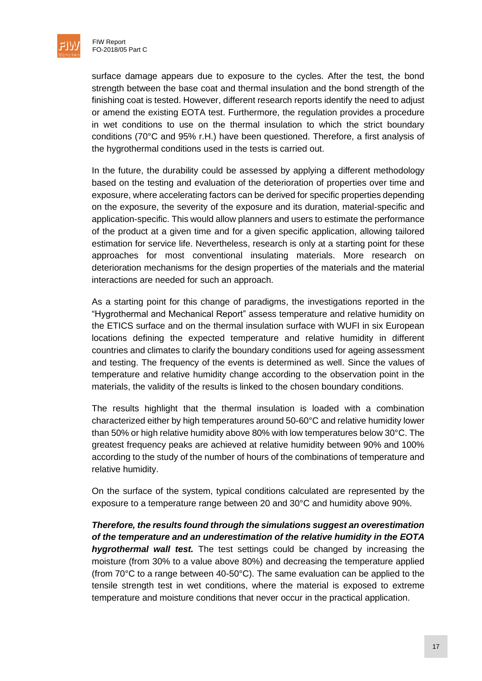

surface damage appears due to exposure to the cycles. After the test, the bond strength between the base coat and thermal insulation and the bond strength of the finishing coat is tested. However, different research reports identify the need to adjust or amend the existing EOTA test. Furthermore, the regulation provides a procedure in wet conditions to use on the thermal insulation to which the strict boundary conditions (70°C and 95% r.H.) have been questioned. Therefore, a first analysis of the hygrothermal conditions used in the tests is carried out.

In the future, the durability could be assessed by applying a different methodology based on the testing and evaluation of the deterioration of properties over time and exposure, where accelerating factors can be derived for specific properties depending on the exposure, the severity of the exposure and its duration, material-specific and application-specific. This would allow planners and users to estimate the performance of the product at a given time and for a given specific application, allowing tailored estimation for service life. Nevertheless, research is only at a starting point for these approaches for most conventional insulating materials. More research on deterioration mechanisms for the design properties of the materials and the material interactions are needed for such an approach.

As a starting point for this change of paradigms, the investigations reported in the "Hygrothermal and Mechanical Report" assess temperature and relative humidity on the ETICS surface and on the thermal insulation surface with WUFI in six European locations defining the expected temperature and relative humidity in different countries and climates to clarify the boundary conditions used for ageing assessment and testing. The frequency of the events is determined as well. Since the values of temperature and relative humidity change according to the observation point in the materials, the validity of the results is linked to the chosen boundary conditions.

The results highlight that the thermal insulation is loaded with a combination characterized either by high temperatures around 50-60°C and relative humidity lower than 50% or high relative humidity above 80% with low temperatures below 30°C. The greatest frequency peaks are achieved at relative humidity between 90% and 100% according to the study of the number of hours of the combinations of temperature and relative humidity.

On the surface of the system, typical conditions calculated are represented by the exposure to a temperature range between 20 and 30°C and humidity above 90%.

*Therefore, the results found through the simulations suggest an overestimation of the temperature and an underestimation of the relative humidity in the EOTA hygrothermal wall test.* The test settings could be changed by increasing the moisture (from 30% to a value above 80%) and decreasing the temperature applied (from 70°C to a range between 40-50°C). The same evaluation can be applied to the tensile strength test in wet conditions, where the material is exposed to extreme temperature and moisture conditions that never occur in the practical application.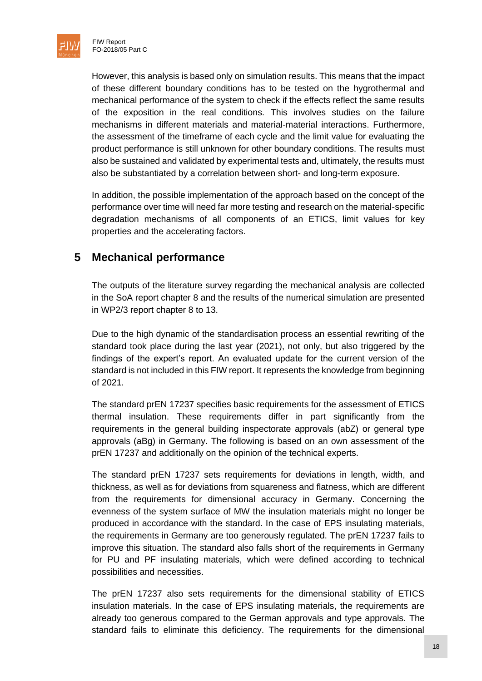

However, this analysis is based only on simulation results. This means that the impact of these different boundary conditions has to be tested on the hygrothermal and mechanical performance of the system to check if the effects reflect the same results of the exposition in the real conditions. This involves studies on the failure mechanisms in different materials and material-material interactions. Furthermore, the assessment of the timeframe of each cycle and the limit value for evaluating the product performance is still unknown for other boundary conditions. The results must also be sustained and validated by experimental tests and, ultimately, the results must also be substantiated by a correlation between short- and long-term exposure.

In addition, the possible implementation of the approach based on the concept of the performance over time will need far more testing and research on the material-specific degradation mechanisms of all components of an ETICS, limit values for key properties and the accelerating factors.

## <span id="page-18-0"></span>**5 Mechanical performance**

The outputs of the literature survey regarding the mechanical analysis are collected in the SoA report chapter 8 and the results of the numerical simulation are presented in WP2/3 report chapter 8 to 13.

Due to the high dynamic of the standardisation process an essential rewriting of the standard took place during the last year (2021), not only, but also triggered by the findings of the expert's report. An evaluated update for the current version of the standard is not included in this FIW report. It represents the knowledge from beginning of 2021.

The standard prEN 17237 specifies basic requirements for the assessment of ETICS thermal insulation. These requirements differ in part significantly from the requirements in the general building inspectorate approvals (abZ) or general type approvals (aBg) in Germany. The following is based on an own assessment of the prEN 17237 and additionally on the opinion of the technical experts.

The standard prEN 17237 sets requirements for deviations in length, width, and thickness, as well as for deviations from squareness and flatness, which are different from the requirements for dimensional accuracy in Germany. Concerning the evenness of the system surface of MW the insulation materials might no longer be produced in accordance with the standard. In the case of EPS insulating materials, the requirements in Germany are too generously regulated. The prEN 17237 fails to improve this situation. The standard also falls short of the requirements in Germany for PU and PF insulating materials, which were defined according to technical possibilities and necessities.

The prEN 17237 also sets requirements for the dimensional stability of ETICS insulation materials. In the case of EPS insulating materials, the requirements are already too generous compared to the German approvals and type approvals. The standard fails to eliminate this deficiency. The requirements for the dimensional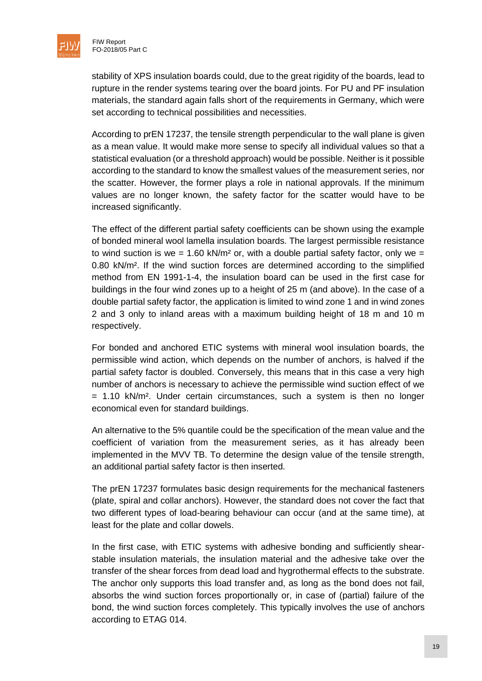

stability of XPS insulation boards could, due to the great rigidity of the boards, lead to rupture in the render systems tearing over the board joints. For PU and PF insulation materials, the standard again falls short of the requirements in Germany, which were set according to technical possibilities and necessities.

According to prEN 17237, the tensile strength perpendicular to the wall plane is given as a mean value. It would make more sense to specify all individual values so that a statistical evaluation (or a threshold approach) would be possible. Neither is it possible according to the standard to know the smallest values of the measurement series, nor the scatter. However, the former plays a role in national approvals. If the minimum values are no longer known, the safety factor for the scatter would have to be increased significantly.

The effect of the different partial safety coefficients can be shown using the example of bonded mineral wool lamella insulation boards. The largest permissible resistance to wind suction is we =  $1.60 \text{ kN/m}^2$  or, with a double partial safety factor, only we = 0.80 kN/m². If the wind suction forces are determined according to the simplified method from EN 1991-1-4, the insulation board can be used in the first case for buildings in the four wind zones up to a height of 25 m (and above). In the case of a double partial safety factor, the application is limited to wind zone 1 and in wind zones 2 and 3 only to inland areas with a maximum building height of 18 m and 10 m respectively.

For bonded and anchored ETIC systems with mineral wool insulation boards, the permissible wind action, which depends on the number of anchors, is halved if the partial safety factor is doubled. Conversely, this means that in this case a very high number of anchors is necessary to achieve the permissible wind suction effect of we  $=$  1.10 kN/m<sup>2</sup>. Under certain circumstances, such a system is then no longer economical even for standard buildings.

An alternative to the 5% quantile could be the specification of the mean value and the coefficient of variation from the measurement series, as it has already been implemented in the MVV TB. To determine the design value of the tensile strength, an additional partial safety factor is then inserted.

The prEN 17237 formulates basic design requirements for the mechanical fasteners (plate, spiral and collar anchors). However, the standard does not cover the fact that two different types of load-bearing behaviour can occur (and at the same time), at least for the plate and collar dowels.

In the first case, with ETIC systems with adhesive bonding and sufficiently shearstable insulation materials, the insulation material and the adhesive take over the transfer of the shear forces from dead load and hygrothermal effects to the substrate. The anchor only supports this load transfer and, as long as the bond does not fail, absorbs the wind suction forces proportionally or, in case of (partial) failure of the bond, the wind suction forces completely. This typically involves the use of anchors according to ETAG 014.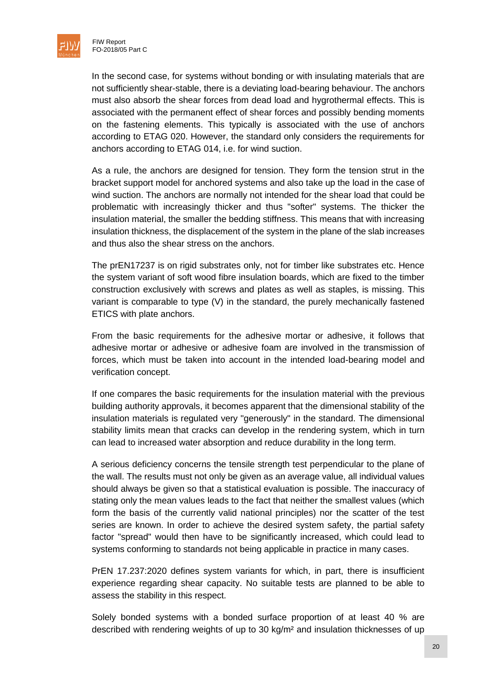

In the second case, for systems without bonding or with insulating materials that are not sufficiently shear-stable, there is a deviating load-bearing behaviour. The anchors must also absorb the shear forces from dead load and hygrothermal effects. This is associated with the permanent effect of shear forces and possibly bending moments on the fastening elements. This typically is associated with the use of anchors according to ETAG 020. However, the standard only considers the requirements for anchors according to ETAG 014, i.e. for wind suction.

As a rule, the anchors are designed for tension. They form the tension strut in the bracket support model for anchored systems and also take up the load in the case of wind suction. The anchors are normally not intended for the shear load that could be problematic with increasingly thicker and thus "softer" systems. The thicker the insulation material, the smaller the bedding stiffness. This means that with increasing insulation thickness, the displacement of the system in the plane of the slab increases and thus also the shear stress on the anchors.

The prEN17237 is on rigid substrates only, not for timber like substrates etc. Hence the system variant of soft wood fibre insulation boards, which are fixed to the timber construction exclusively with screws and plates as well as staples, is missing. This variant is comparable to type (V) in the standard, the purely mechanically fastened ETICS with plate anchors.

From the basic requirements for the adhesive mortar or adhesive, it follows that adhesive mortar or adhesive or adhesive foam are involved in the transmission of forces, which must be taken into account in the intended load-bearing model and verification concept.

If one compares the basic requirements for the insulation material with the previous building authority approvals, it becomes apparent that the dimensional stability of the insulation materials is regulated very "generously" in the standard. The dimensional stability limits mean that cracks can develop in the rendering system, which in turn can lead to increased water absorption and reduce durability in the long term.

A serious deficiency concerns the tensile strength test perpendicular to the plane of the wall. The results must not only be given as an average value, all individual values should always be given so that a statistical evaluation is possible. The inaccuracy of stating only the mean values leads to the fact that neither the smallest values (which form the basis of the currently valid national principles) nor the scatter of the test series are known. In order to achieve the desired system safety, the partial safety factor "spread" would then have to be significantly increased, which could lead to systems conforming to standards not being applicable in practice in many cases.

PrEN 17.237:2020 defines system variants for which, in part, there is insufficient experience regarding shear capacity. No suitable tests are planned to be able to assess the stability in this respect.

Solely bonded systems with a bonded surface proportion of at least 40 % are described with rendering weights of up to 30 kg/m² and insulation thicknesses of up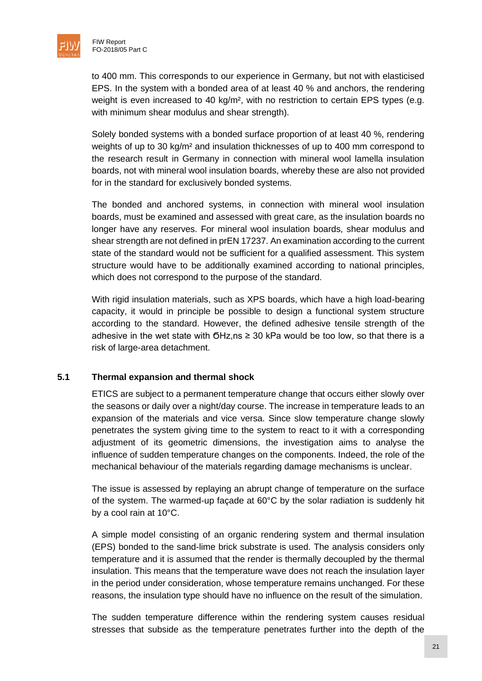

to 400 mm. This corresponds to our experience in Germany, but not with elasticised EPS. In the system with a bonded area of at least 40 % and anchors, the rendering weight is even increased to 40 kg/m², with no restriction to certain EPS types (e.g. with minimum shear modulus and shear strength).

Solely bonded systems with a bonded surface proportion of at least 40 %, rendering weights of up to 30 kg/m² and insulation thicknesses of up to 400 mm correspond to the research result in Germany in connection with mineral wool lamella insulation boards, not with mineral wool insulation boards, whereby these are also not provided for in the standard for exclusively bonded systems.

The bonded and anchored systems, in connection with mineral wool insulation boards, must be examined and assessed with great care, as the insulation boards no longer have any reserves. For mineral wool insulation boards, shear modulus and shear strength are not defined in prEN 17237. An examination according to the current state of the standard would not be sufficient for a qualified assessment. This system structure would have to be additionally examined according to national principles, which does not correspond to the purpose of the standard.

With rigid insulation materials, such as XPS boards, which have a high load-bearing capacity, it would in principle be possible to design a functional system structure according to the standard. However, the defined adhesive tensile strength of the adhesive in the wet state with ϬHz,ns ≥ 30 kPa would be too low, so that there is a risk of large-area detachment.

#### <span id="page-21-0"></span>**5.1 Thermal expansion and thermal shock**

ETICS are subject to a permanent temperature change that occurs either slowly over the seasons or daily over a night/day course. The increase in temperature leads to an expansion of the materials and vice versa. Since slow temperature change slowly penetrates the system giving time to the system to react to it with a corresponding adjustment of its geometric dimensions, the investigation aims to analyse the influence of sudden temperature changes on the components. Indeed, the role of the mechanical behaviour of the materials regarding damage mechanisms is unclear.

The issue is assessed by replaying an abrupt change of temperature on the surface of the system. The warmed-up façade at 60°C by the solar radiation is suddenly hit by a cool rain at 10°C.

A simple model consisting of an organic rendering system and thermal insulation (EPS) bonded to the sand-lime brick substrate is used. The analysis considers only temperature and it is assumed that the render is thermally decoupled by the thermal insulation. This means that the temperature wave does not reach the insulation layer in the period under consideration, whose temperature remains unchanged. For these reasons, the insulation type should have no influence on the result of the simulation.

The sudden temperature difference within the rendering system causes residual stresses that subside as the temperature penetrates further into the depth of the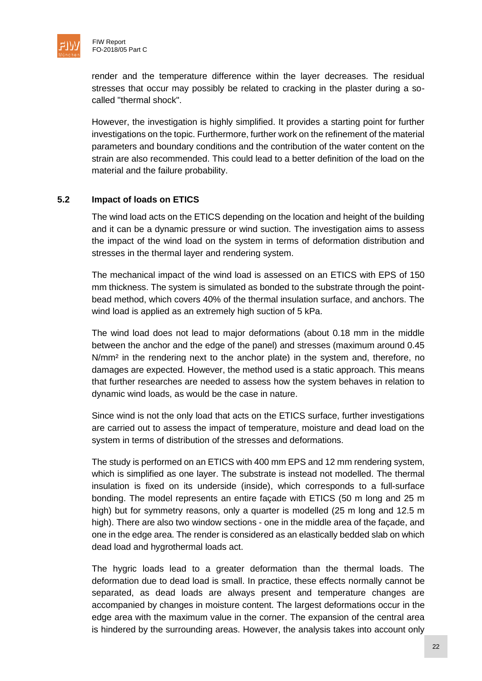

render and the temperature difference within the layer decreases. The residual stresses that occur may possibly be related to cracking in the plaster during a socalled "thermal shock".

However, the investigation is highly simplified. It provides a starting point for further investigations on the topic. Furthermore, further work on the refinement of the material parameters and boundary conditions and the contribution of the water content on the strain are also recommended. This could lead to a better definition of the load on the material and the failure probability.

#### <span id="page-22-0"></span>**5.2 Impact of loads on ETICS**

The wind load acts on the ETICS depending on the location and height of the building and it can be a dynamic pressure or wind suction. The investigation aims to assess the impact of the wind load on the system in terms of deformation distribution and stresses in the thermal layer and rendering system.

The mechanical impact of the wind load is assessed on an ETICS with EPS of 150 mm thickness. The system is simulated as bonded to the substrate through the pointbead method, which covers 40% of the thermal insulation surface, and anchors. The wind load is applied as an extremely high suction of 5 kPa.

The wind load does not lead to major deformations (about 0.18 mm in the middle between the anchor and the edge of the panel) and stresses (maximum around 0.45 N/mm² in the rendering next to the anchor plate) in the system and, therefore, no damages are expected. However, the method used is a static approach. This means that further researches are needed to assess how the system behaves in relation to dynamic wind loads, as would be the case in nature.

Since wind is not the only load that acts on the ETICS surface, further investigations are carried out to assess the impact of temperature, moisture and dead load on the system in terms of distribution of the stresses and deformations.

The study is performed on an ETICS with 400 mm EPS and 12 mm rendering system, which is simplified as one layer. The substrate is instead not modelled. The thermal insulation is fixed on its underside (inside), which corresponds to a full-surface bonding. The model represents an entire façade with ETICS (50 m long and 25 m high) but for symmetry reasons, only a quarter is modelled (25 m long and 12.5 m high). There are also two window sections - one in the middle area of the façade, and one in the edge area. The render is considered as an elastically bedded slab on which dead load and hygrothermal loads act.

The hygric loads lead to a greater deformation than the thermal loads. The deformation due to dead load is small. In practice, these effects normally cannot be separated, as dead loads are always present and temperature changes are accompanied by changes in moisture content. The largest deformations occur in the edge area with the maximum value in the corner. The expansion of the central area is hindered by the surrounding areas. However, the analysis takes into account only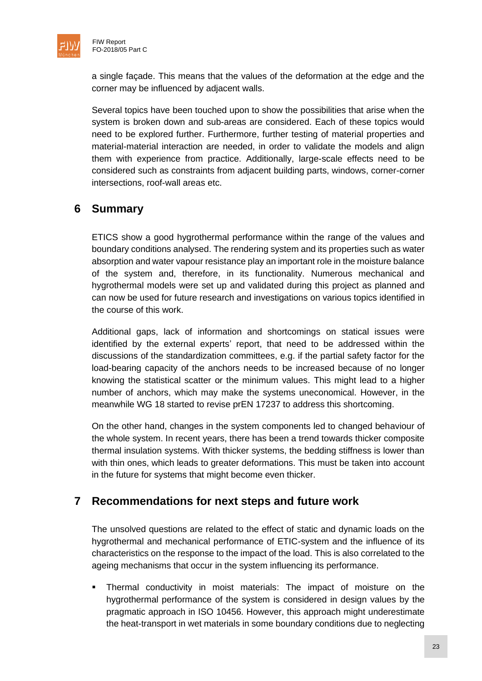

a single façade. This means that the values of the deformation at the edge and the corner may be influenced by adjacent walls.

Several topics have been touched upon to show the possibilities that arise when the system is broken down and sub-areas are considered. Each of these topics would need to be explored further. Furthermore, further testing of material properties and material-material interaction are needed, in order to validate the models and align them with experience from practice. Additionally, large-scale effects need to be considered such as constraints from adjacent building parts, windows, corner-corner intersections, roof-wall areas etc.

# <span id="page-23-0"></span>**6 Summary**

ETICS show a good hygrothermal performance within the range of the values and boundary conditions analysed. The rendering system and its properties such as water absorption and water vapour resistance play an important role in the moisture balance of the system and, therefore, in its functionality. Numerous mechanical and hygrothermal models were set up and validated during this project as planned and can now be used for future research and investigations on various topics identified in the course of this work.

Additional gaps, lack of information and shortcomings on statical issues were identified by the external experts' report, that need to be addressed within the discussions of the standardization committees, e.g. if the partial safety factor for the load-bearing capacity of the anchors needs to be increased because of no longer knowing the statistical scatter or the minimum values. This might lead to a higher number of anchors, which may make the systems uneconomical. However, in the meanwhile WG 18 started to revise prEN 17237 to address this shortcoming.

On the other hand, changes in the system components led to changed behaviour of the whole system. In recent years, there has been a trend towards thicker composite thermal insulation systems. With thicker systems, the bedding stiffness is lower than with thin ones, which leads to greater deformations. This must be taken into account in the future for systems that might become even thicker.

# <span id="page-23-1"></span>**7 Recommendations for next steps and future work**

The unsolved questions are related to the effect of static and dynamic loads on the hygrothermal and mechanical performance of ETIC-system and the influence of its characteristics on the response to the impact of the load. This is also correlated to the ageing mechanisms that occur in the system influencing its performance.

**·** Thermal conductivity in moist materials: The impact of moisture on the hygrothermal performance of the system is considered in design values by the pragmatic approach in ISO 10456. However, this approach might underestimate the heat-transport in wet materials in some boundary conditions due to neglecting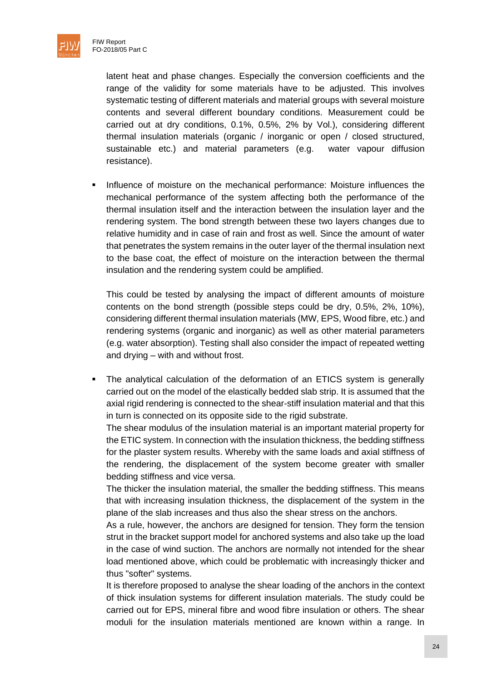

latent heat and phase changes. Especially the conversion coefficients and the range of the validity for some materials have to be adjusted. This involves systematic testing of different materials and material groups with several moisture contents and several different boundary conditions. Measurement could be carried out at dry conditions, 0.1%, 0.5%, 2% by Vol.), considering different thermal insulation materials (organic / inorganic or open / closed structured, sustainable etc.) and material parameters (e.g. water vapour diffusion resistance).

**•** Influence of moisture on the mechanical performance: Moisture influences the mechanical performance of the system affecting both the performance of the thermal insulation itself and the interaction between the insulation layer and the rendering system. The bond strength between these two layers changes due to relative humidity and in case of rain and frost as well. Since the amount of water that penetrates the system remains in the outer layer of the thermal insulation next to the base coat, the effect of moisture on the interaction between the thermal insulation and the rendering system could be amplified.

This could be tested by analysing the impact of different amounts of moisture contents on the bond strength (possible steps could be dry, 0.5%, 2%, 10%), considering different thermal insulation materials (MW, EPS, Wood fibre, etc.) and rendering systems (organic and inorganic) as well as other material parameters (e.g. water absorption). Testing shall also consider the impact of repeated wetting and drying – with and without frost.

▪ The analytical calculation of the deformation of an ETICS system is generally carried out on the model of the elastically bedded slab strip. It is assumed that the axial rigid rendering is connected to the shear-stiff insulation material and that this in turn is connected on its opposite side to the rigid substrate.

The shear modulus of the insulation material is an important material property for the ETIC system. In connection with the insulation thickness, the bedding stiffness for the plaster system results. Whereby with the same loads and axial stiffness of the rendering, the displacement of the system become greater with smaller bedding stiffness and vice versa.

The thicker the insulation material, the smaller the bedding stiffness. This means that with increasing insulation thickness, the displacement of the system in the plane of the slab increases and thus also the shear stress on the anchors.

As a rule, however, the anchors are designed for tension. They form the tension strut in the bracket support model for anchored systems and also take up the load in the case of wind suction. The anchors are normally not intended for the shear load mentioned above, which could be problematic with increasingly thicker and thus "softer" systems.

It is therefore proposed to analyse the shear loading of the anchors in the context of thick insulation systems for different insulation materials. The study could be carried out for EPS, mineral fibre and wood fibre insulation or others. The shear moduli for the insulation materials mentioned are known within a range. In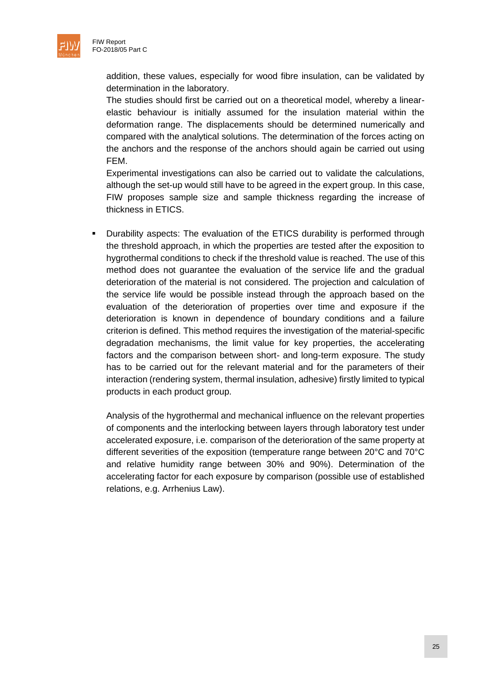

addition, these values, especially for wood fibre insulation, can be validated by determination in the laboratory.

The studies should first be carried out on a theoretical model, whereby a linearelastic behaviour is initially assumed for the insulation material within the deformation range. The displacements should be determined numerically and compared with the analytical solutions. The determination of the forces acting on the anchors and the response of the anchors should again be carried out using FEM.

Experimental investigations can also be carried out to validate the calculations, although the set-up would still have to be agreed in the expert group. In this case, FIW proposes sample size and sample thickness regarding the increase of thickness in ETICS.

Durability aspects: The evaluation of the ETICS durability is performed through the threshold approach, in which the properties are tested after the exposition to hygrothermal conditions to check if the threshold value is reached. The use of this method does not guarantee the evaluation of the service life and the gradual deterioration of the material is not considered. The projection and calculation of the service life would be possible instead through the approach based on the evaluation of the deterioration of properties over time and exposure if the deterioration is known in dependence of boundary conditions and a failure criterion is defined. This method requires the investigation of the material-specific degradation mechanisms, the limit value for key properties, the accelerating factors and the comparison between short- and long-term exposure. The study has to be carried out for the relevant material and for the parameters of their interaction (rendering system, thermal insulation, adhesive) firstly limited to typical products in each product group.

Analysis of the hygrothermal and mechanical influence on the relevant properties of components and the interlocking between layers through laboratory test under accelerated exposure, i.e. comparison of the deterioration of the same property at different severities of the exposition (temperature range between 20°C and 70°C and relative humidity range between 30% and 90%). Determination of the accelerating factor for each exposure by comparison (possible use of established relations, e.g. Arrhenius Law).